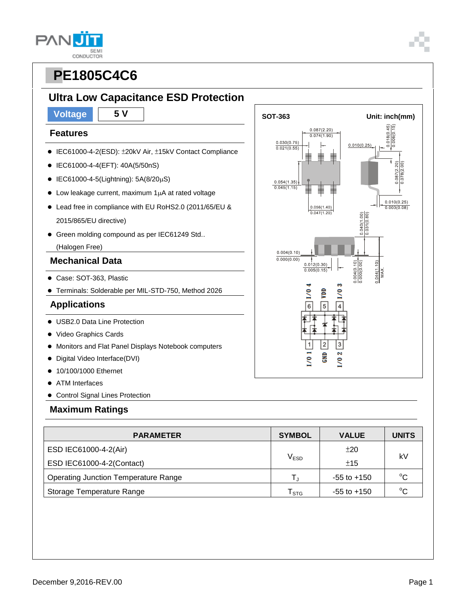**SEMI** CONDUCTOR

### **Ultra Low Capacitance ESD Protection**

#### **Features**

**PAN** 

- IEC61000-4-2(ESD): ±20kV Air, ±15kV Contact Compliance
- IEC61000-4-4(EFT): 40A(5/50nS)
- $\bullet$  IEC61000-4-5(Lightning): 5A(8/20µS)
- $\bullet$  Low leakage current, maximum 1 $\mu$ A at rated voltage
- Lead free in compliance with EU RoHS2.0 (2011/65/EU & 2015/865/EU directive)
- Green molding compound as per IEC61249 Std..

(Halogen Free)

### **Mechanical Data**

- Case: SOT-363, Plastic
- Terminals: Solderable per MIL-STD-750, Method 2026

### **Applications**

- USB2.0 Data Line Protection
- Video Graphics Cards
- Monitors and Flat Panel Displays Notebook computers
- Digital Video Interface(DVI)
- 10/100/1000 Ethernet
- ATM Interfaces
- Control Signal Lines Protection

#### **Maximum Ratings**

| <b>PARAMETER</b>                            | <b>SYMBOL</b>    | <b>VALUE</b>    | <b>UNITS</b> |  |
|---------------------------------------------|------------------|-----------------|--------------|--|
| ESD IEC61000-4-2(Air)                       |                  | ±20             | kV           |  |
| ESD IEC61000-4-2(Contact)                   | V <sub>ESD</sub> | ±15             |              |  |
| <b>Operating Junction Temperature Range</b> |                  | $-55$ to $+150$ | $^{\circ}C$  |  |
| Storage Temperature Range                   | <b>STG</b>       | $-55$ to $+150$ | $^{\circ}C$  |  |

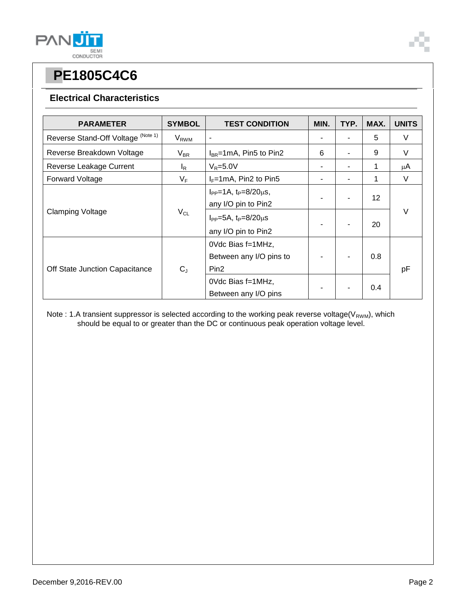

### **Electrical Characteristics**

| <b>PARAMETER</b>                   | <b>SYMBOL</b>           | <b>TEST CONDITION</b>                                            | MIN. | TYP. | MAX.            | <b>UNITS</b> |
|------------------------------------|-------------------------|------------------------------------------------------------------|------|------|-----------------|--------------|
| Reverse Stand-Off Voltage (Note 1) | <b>V</b> <sub>RWM</sub> | $\blacksquare$                                                   |      |      | 5               | V            |
| Reverse Breakdown Voltage          | $V_{BR}$                | $I_{BR}$ =1mA, Pin5 to Pin2                                      | 6    |      | 9               | V            |
| Reverse Leakage Current            | l <sub>R</sub>          | $V_R = 5.0V$                                                     |      |      | 1               | μA           |
| <b>Forward Voltage</b>             | $V_F$                   | $I_F = 1 \text{mA}$ , Pin2 to Pin5                               | ۰    |      | 1               | V            |
| <b>Clamping Voltage</b>            | $V_{CL}$                | $I_{PP} = 1A$ , $t_P = 8/20 \mu s$ ,<br>any I/O pin to Pin2      |      |      | 12 <sup>2</sup> | V            |
|                                    |                         | $I_{PP} = 5A$ , $t_P = 8/20 \mu s$<br>any I/O pin to Pin2        |      |      | 20              |              |
| Off State Junction Capacitance     | $C_{J}$                 | OVdc Bias f=1MHz,<br>Between any I/O pins to<br>Pin <sub>2</sub> |      |      | 0.8             | рF           |
|                                    |                         | OVdc Bias f=1MHz,<br>Between any I/O pins                        |      |      | 0.4             |              |

Note : 1.A transient suppressor is selected according to the working peak reverse voltage(V<sub>RWM</sub>), which should be equal to or greater than the DC or continuous peak operation voltage level.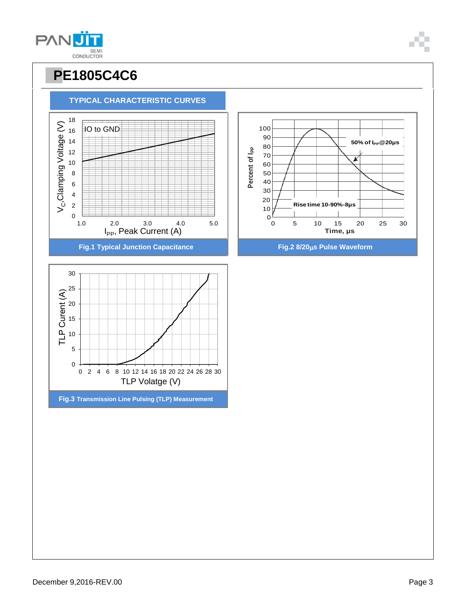December 9,2016-REV.00 Page 3





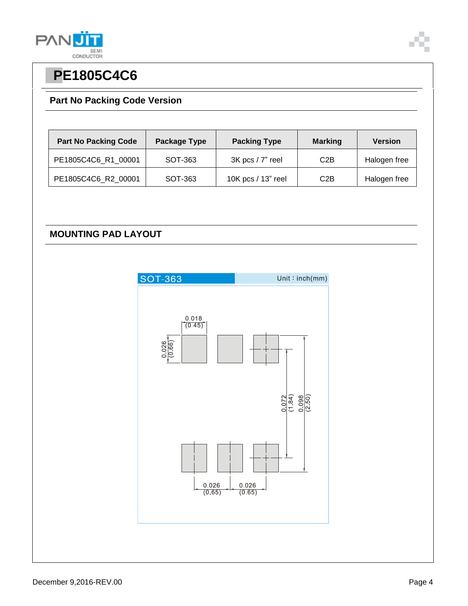

### **Part No Packing Code Version**

| <b>Part No Packing Code</b> | Package Type | <b>Packing Type</b>  | <b>Marking</b> | <b>Version</b> |
|-----------------------------|--------------|----------------------|----------------|----------------|
| PE1805C4C6_R1_00001         | SOT-363      | $3K$ pcs / $7"$ reel | C2B            | Halogen free   |
| PE1805C4C6_R2_00001         | SOT-363      | 10K pcs / 13" reel   | C2B            | Halogen free   |

### **MOUNTING PAD LAYOUT**